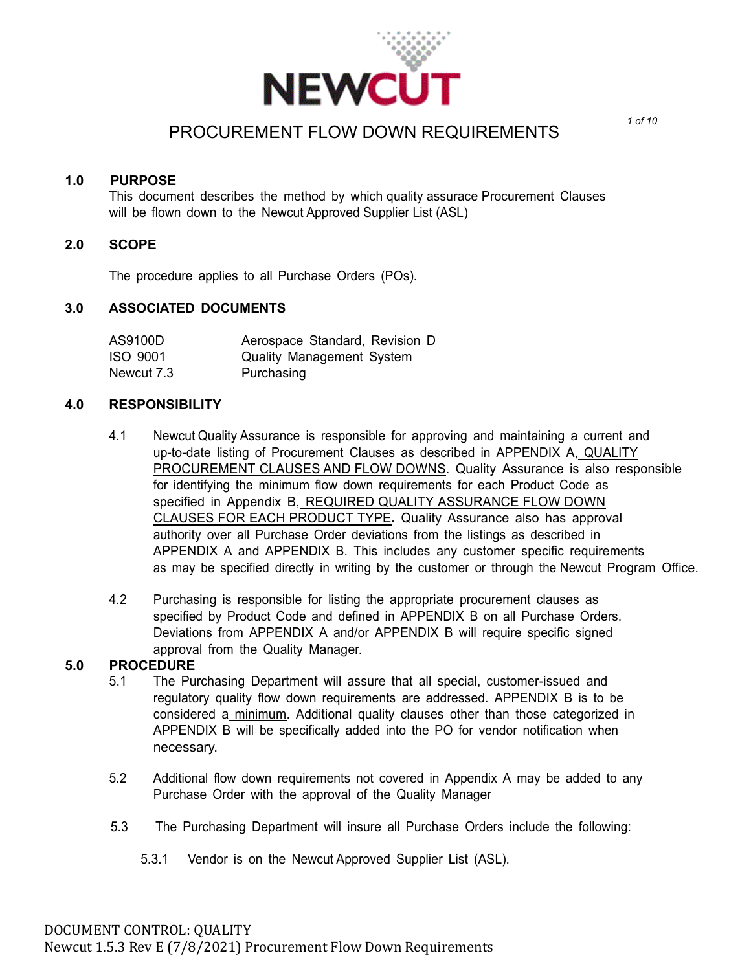

### **1.0 PURPOSE**

This document describes the method by which quality assurace Procurement Clauses will be flown down to the Newcut Approved Supplier List (ASL)

#### **2.0 SCOPE**

The procedure applies to all Purchase Orders (POs).

#### **3.0 ASSOCIATED DOCUMENTS**

| AS9100D    | Aerospace Standard, Revision D   |
|------------|----------------------------------|
| ISO 9001   | <b>Quality Management System</b> |
| Newcut 7.3 | Purchasing                       |

#### **4.0 RESPONSIBILITY**

- 4.1 Newcut Quality Assurance is responsible for approving and maintaining a current and up-to-date listing of Procurement Clauses as described in APPENDIX A, QUALITY PROCUREMENT CLAUSES AND FLOW DOWNS. Quality Assurance is also responsible for identifying the minimum flow down requirements for each Product Code as specified in Appendix B, REQUIRED QUALITY ASSURANCE FLOW DOWN CLAUSES FOR EACH PRODUCT TYPE**.** Quality Assurance also has approval authority over all Purchase Order deviations from the listings as described in APPENDIX A and APPENDIX B. This includes any customer specific requirements as may be specified directly in writing by the customer or through the Newcut Program Office.
- 4.2 Purchasing is responsible for listing the appropriate procurement clauses as specified by Product Code and defined in APPENDIX B on all Purchase Orders. Deviations from APPENDIX A and/or APPENDIX B will require specific signed approval from the Quality Manager.

#### **5.0 PROCEDURE**

- 5.1 The Purchasing Department will assure that all special, customer-issued and regulatory quality flow down requirements are addressed. APPENDIX B is to be considered a minimum. Additional quality clauses other than those categorized in APPENDIX B will be specifically added into the PO for vendor notification when necessary.
- 5.2 Additional flow down requirements not covered in Appendix A may be added to any Purchase Order with the approval of the Quality Manager
- 5.3 The Purchasing Department will insure all Purchase Orders include the following:
	- 5.3.1 Vendor is on the Newcut Approved Supplier List (ASL).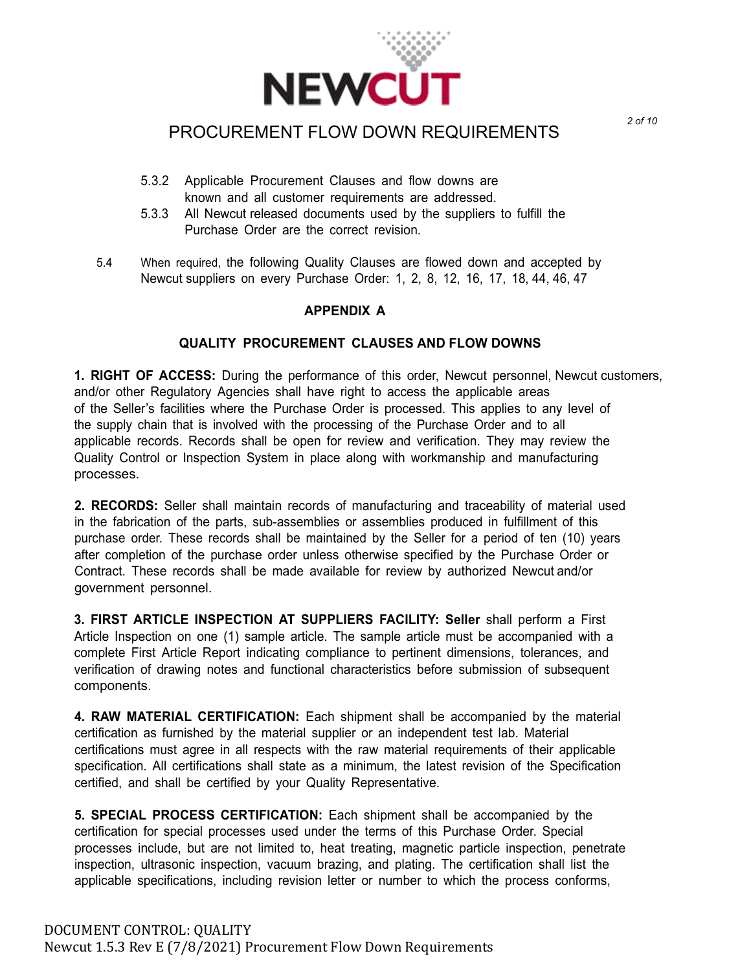

- 5.3.2 Applicable Procurement Clauses and flow downs are known and all customer requirements are addressed.
- 5.3.3 All Newcut released documents used by the suppliers to fulfill the Purchase Order are the correct revision.
- 5.4 When required, the following Quality Clauses are flowed down and accepted by Newcut suppliers on every Purchase Order: 1, 2, 8, 12, 16, 17, 18, 44, 46, 47

### **APPENDIX A**

### **QUALITY PROCUREMENT CLAUSES AND FLOW DOWNS**

**1. RIGHT OF ACCESS:** During the performance of this order, Newcut personnel, Newcut customers, and/or other Regulatory Agencies shall have right to access the applicable areas of the Seller's facilities where the Purchase Order is processed. This applies to any level of the supply chain that is involved with the processing of the Purchase Order and to all applicable records. Records shall be open for review and verification. They may review the Quality Control or Inspection System in place along with workmanship and manufacturing processes.

**2. RECORDS:** Seller shall maintain records of manufacturing and traceability of material used in the fabrication of the parts, sub-assemblies or assemblies produced in fulfillment of this purchase order. These records shall be maintained by the Seller for a period of ten (10) years after completion of the purchase order unless otherwise specified by the Purchase Order or Contract. These records shall be made available for review by authorized Newcut and/or government personnel.

**3. FIRST ARTICLE INSPECTION AT SUPPLIERS FACILITY: Seller** shall perform a First Article Inspection on one (1) sample article. The sample article must be accompanied with a complete First Article Report indicating compliance to pertinent dimensions, tolerances, and verification of drawing notes and functional characteristics before submission of subsequent components.

**4. RAW MATERIAL CERTIFICATION:** Each shipment shall be accompanied by the material certification as furnished by the material supplier or an independent test lab. Material certifications must agree in all respects with the raw material requirements of their applicable specification. All certifications shall state as a minimum, the latest revision of the Specification certified, and shall be certified by your Quality Representative.

**5. SPECIAL PROCESS CERTIFICATION:** Each shipment shall be accompanied by the certification for special processes used under the terms of this Purchase Order. Special processes include, but are not limited to, heat treating, magnetic particle inspection, penetrate inspection, ultrasonic inspection, vacuum brazing, and plating. The certification shall list the applicable specifications, including revision letter or number to which the process conforms,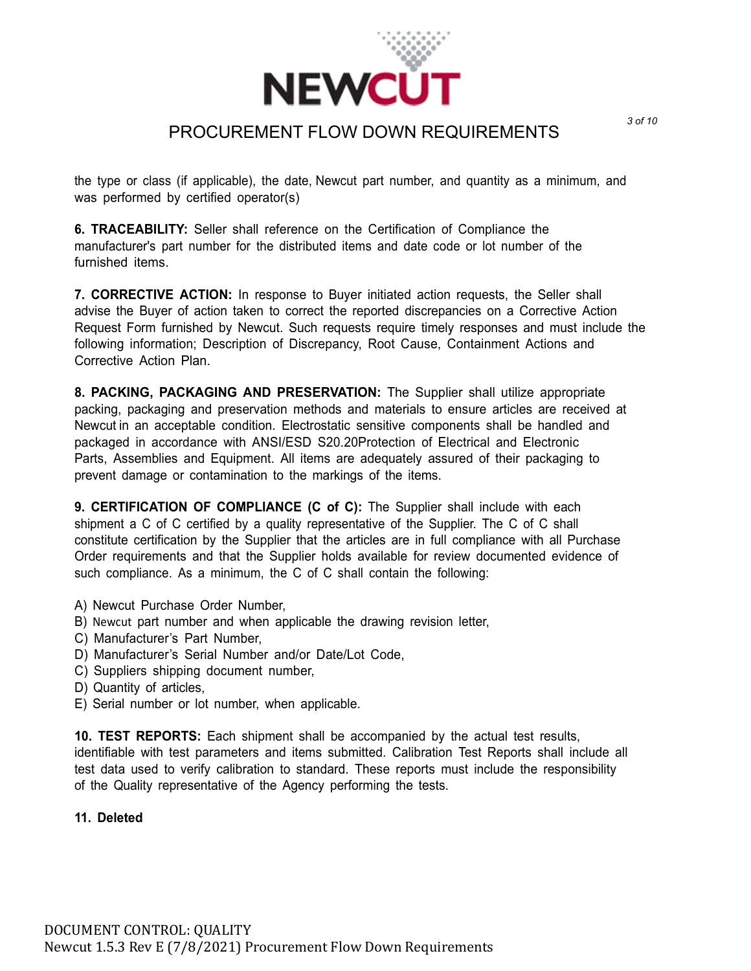

the type or class (if applicable), the date, Newcut part number, and quantity as a minimum, and was performed by certified operator(s)

**6. TRACEABILITY:** Seller shall reference on the Certification of Compliance the manufacturer's part number for the distributed items and date code or lot number of the furnished items.

**7. CORRECTIVE ACTION:** In response to Buyer initiated action requests, the Seller shall advise the Buyer of action taken to correct the reported discrepancies on a Corrective Action Request Form furnished by Newcut. Such requests require timely responses and must include the following information; Description of Discrepancy, Root Cause, Containment Actions and Corrective Action Plan.

**8. PACKING, PACKAGING AND PRESERVATION:** The Supplier shall utilize appropriate packing, packaging and preservation methods and materials to ensure articles are received at Newcut in an acceptable condition. Electrostatic sensitive components shall be handled and packaged in accordance with ANSI/ESD S20.20Protection of Electrical and Electronic Parts, Assemblies and Equipment. All items are adequately assured of their packaging to prevent damage or contamination to the markings of the items.

**9. CERTIFICATION OF COMPLIANCE (C of C):** The Supplier shall include with each shipment a C of C certified by a quality representative of the Supplier. The C of C shall constitute certification by the Supplier that the articles are in full compliance with all Purchase Order requirements and that the Supplier holds available for review documented evidence of such compliance. As a minimum, the C of C shall contain the following:

- A) Newcut Purchase Order Number,
- B) Newcut part number and when applicable the drawing revision letter,
- C) Manufacturer's Part Number,
- D) Manufacturer's Serial Number and/or Date/Lot Code,
- C) Suppliers shipping document number,
- D) Quantity of articles,
- E) Serial number or lot number, when applicable.

**10. TEST REPORTS:** Each shipment shall be accompanied by the actual test results, identifiable with test parameters and items submitted. Calibration Test Reports shall include all test data used to verify calibration to standard. These reports must include the responsibility of the Quality representative of the Agency performing the tests.

### **11. Deleted**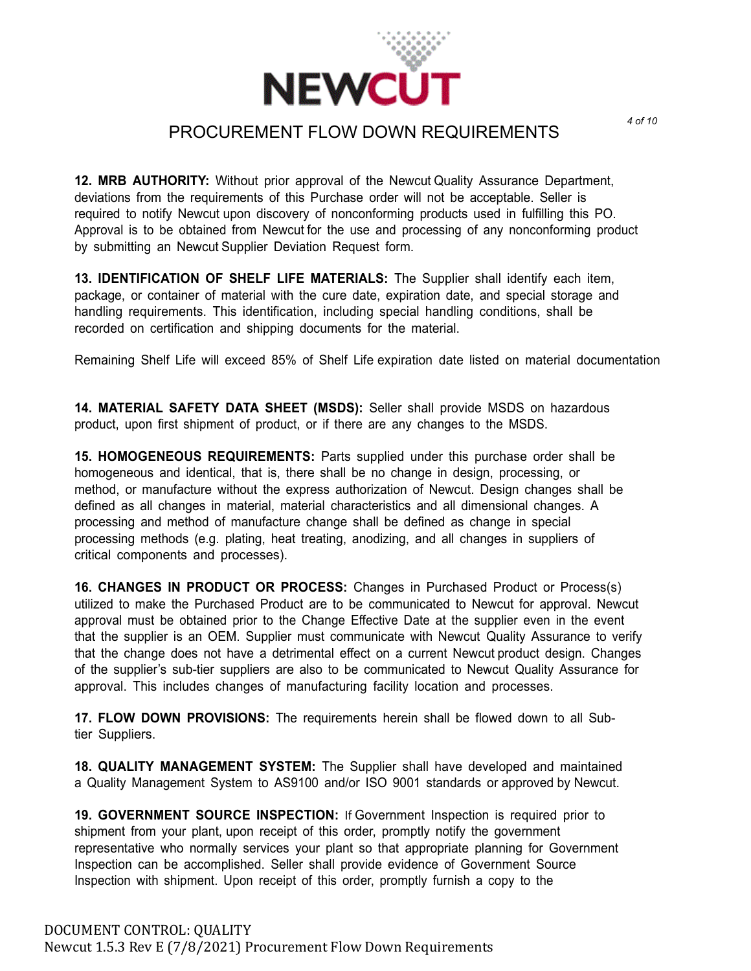

**12. MRB AUTHORITY:** Without prior approval of the Newcut Quality Assurance Department, deviations from the requirements of this Purchase order will not be acceptable. Seller is required to notify Newcut upon discovery of nonconforming products used in fulfilling this PO. Approval is to be obtained from Newcut for the use and processing of any nonconforming product by submitting an Newcut Supplier Deviation Request form.

**13. IDENTIFICATION OF SHELF LIFE MATERIALS:** The Supplier shall identify each item, package, or container of material with the cure date, expiration date, and special storage and handling requirements. This identification, including special handling conditions, shall be recorded on certification and shipping documents for the material.

Remaining Shelf Life will exceed 85% of Shelf Life expiration date listed on material documentation

**14. MATERIAL SAFETY DATA SHEET (MSDS):** Seller shall provide MSDS on hazardous product, upon first shipment of product, or if there are any changes to the MSDS.

**15. HOMOGENEOUS REQUIREMENTS:** Parts supplied under this purchase order shall be homogeneous and identical, that is, there shall be no change in design, processing, or method, or manufacture without the express authorization of Newcut. Design changes shall be defined as all changes in material, material characteristics and all dimensional changes. A processing and method of manufacture change shall be defined as change in special processing methods (e.g. plating, heat treating, anodizing, and all changes in suppliers of critical components and processes).

**16. CHANGES IN PRODUCT OR PROCESS:** Changes in Purchased Product or Process(s) utilized to make the Purchased Product are to be communicated to Newcut for approval. Newcut approval must be obtained prior to the Change Effective Date at the supplier even in the event that the supplier is an OEM. Supplier must communicate with Newcut Quality Assurance to verify that the change does not have a detrimental effect on a current Newcut product design. Changes of the supplier's sub-tier suppliers are also to be communicated to Newcut Quality Assurance for approval. This includes changes of manufacturing facility location and processes.

**17. FLOW DOWN PROVISIONS:** The requirements herein shall be flowed down to all Subtier Suppliers.

**18. QUALITY MANAGEMENT SYSTEM:** The Supplier shall have developed and maintained a Quality Management System to AS9100 and/or ISO 9001 standards or approved by Newcut.

**19. GOVERNMENT SOURCE INSPECTION:** If Government Inspection is required prior to shipment from your plant, upon receipt of this order, promptly notify the government representative who normally services your plant so that appropriate planning for Government Inspection can be accomplished. Seller shall provide evidence of Government Source Inspection with shipment. Upon receipt of this order, promptly furnish a copy to the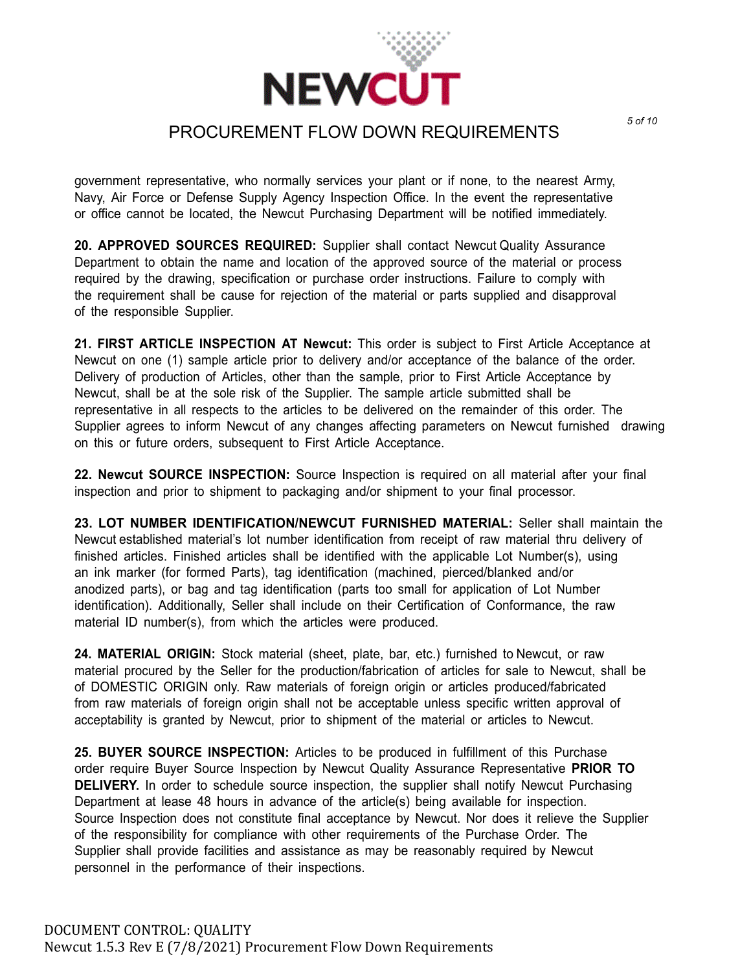

government representative, who normally services your plant or if none, to the nearest Army, Navy, Air Force or Defense Supply Agency Inspection Office. In the event the representative or office cannot be located, the Newcut Purchasing Department will be notified immediately.

**20. APPROVED SOURCES REQUIRED:** Supplier shall contact Newcut Quality Assurance Department to obtain the name and location of the approved source of the material or process required by the drawing, specification or purchase order instructions. Failure to comply with the requirement shall be cause for rejection of the material or parts supplied and disapproval of the responsible Supplier.

**21. FIRST ARTICLE INSPECTION AT Newcut:** This order is subject to First Article Acceptance at Newcut on one (1) sample article prior to delivery and/or acceptance of the balance of the order. Delivery of production of Articles, other than the sample, prior to First Article Acceptance by Newcut, shall be at the sole risk of the Supplier. The sample article submitted shall be representative in all respects to the articles to be delivered on the remainder of this order. The Supplier agrees to inform Newcut of any changes affecting parameters on Newcut furnished drawing on this or future orders, subsequent to First Article Acceptance.

**22. Newcut SOURCE INSPECTION:** Source Inspection is required on all material after your final inspection and prior to shipment to packaging and/or shipment to your final processor.

**23. LOT NUMBER IDENTIFICATION/NEWCUT FURNISHED MATERIAL:** Seller shall maintain the Newcut established material's lot number identification from receipt of raw material thru delivery of finished articles. Finished articles shall be identified with the applicable Lot Number(s), using an ink marker (for formed Parts), tag identification (machined, pierced/blanked and/or anodized parts), or bag and tag identification (parts too small for application of Lot Number identification). Additionally, Seller shall include on their Certification of Conformance, the raw material ID number(s), from which the articles were produced.

**24. MATERIAL ORIGIN:** Stock material (sheet, plate, bar, etc.) furnished to Newcut, or raw material procured by the Seller for the production/fabrication of articles for sale to Newcut, shall be of DOMESTIC ORIGIN only. Raw materials of foreign origin or articles produced/fabricated from raw materials of foreign origin shall not be acceptable unless specific written approval of acceptability is granted by Newcut, prior to shipment of the material or articles to Newcut.

**25. BUYER SOURCE INSPECTION:** Articles to be produced in fulfillment of this Purchase order require Buyer Source Inspection by Newcut Quality Assurance Representative **PRIOR TO DELIVERY.** In order to schedule source inspection, the supplier shall notify Newcut Purchasing Department at lease 48 hours in advance of the article(s) being available for inspection. Source Inspection does not constitute final acceptance by Newcut. Nor does it relieve the Supplier of the responsibility for compliance with other requirements of the Purchase Order. The Supplier shall provide facilities and assistance as may be reasonably required by Newcut personnel in the performance of their inspections.

*5 of 10*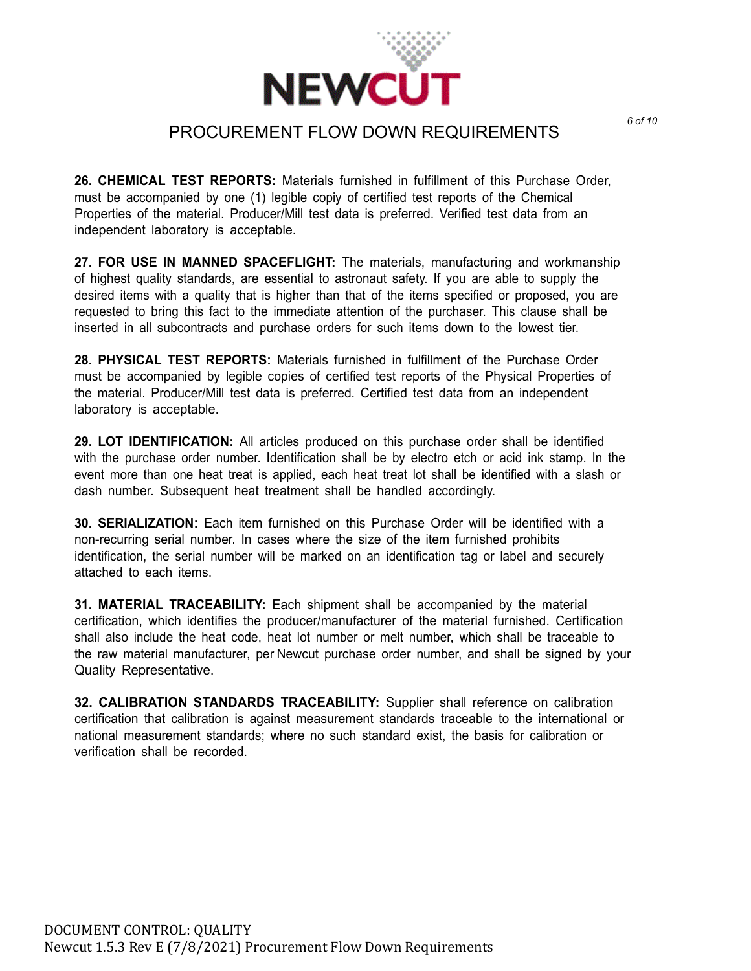

**26. CHEMICAL TEST REPORTS:** Materials furnished in fulfillment of this Purchase Order, must be accompanied by one (1) legible copiy of certified test reports of the Chemical Properties of the material. Producer/Mill test data is preferred. Verified test data from an independent laboratory is acceptable.

**27. FOR USE IN MANNED SPACEFLIGHT:** The materials, manufacturing and workmanship of highest quality standards, are essential to astronaut safety. If you are able to supply the desired items with a quality that is higher than that of the items specified or proposed, you are requested to bring this fact to the immediate attention of the purchaser. This clause shall be inserted in all subcontracts and purchase orders for such items down to the lowest tier.

**28. PHYSICAL TEST REPORTS:** Materials furnished in fulfillment of the Purchase Order must be accompanied by legible copies of certified test reports of the Physical Properties of the material. Producer/Mill test data is preferred. Certified test data from an independent laboratory is acceptable.

**29. LOT IDENTIFICATION:** All articles produced on this purchase order shall be identified with the purchase order number. Identification shall be by electro etch or acid ink stamp. In the event more than one heat treat is applied, each heat treat lot shall be identified with a slash or dash number. Subsequent heat treatment shall be handled accordingly.

**30. SERIALIZATION:** Each item furnished on this Purchase Order will be identified with a non-recurring serial number. In cases where the size of the item furnished prohibits identification, the serial number will be marked on an identification tag or label and securely attached to each items.

**31. MATERIAL TRACEABILITY:** Each shipment shall be accompanied by the material certification, which identifies the producer/manufacturer of the material furnished. Certification shall also include the heat code, heat lot number or melt number, which shall be traceable to the raw material manufacturer, per Newcut purchase order number, and shall be signed by your Quality Representative.

**32. CALIBRATION STANDARDS TRACEABILITY:** Supplier shall reference on calibration certification that calibration is against measurement standards traceable to the international or national measurement standards; where no such standard exist, the basis for calibration or verification shall be recorded.

*6 of 10*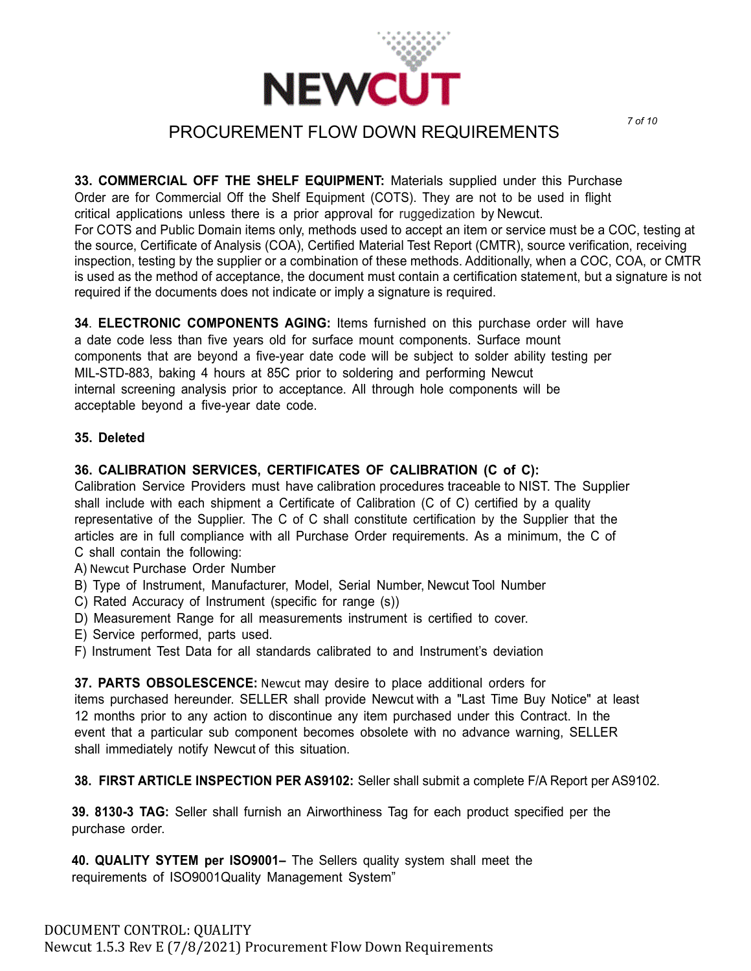

*7 of 10*

**33. COMMERCIAL OFF THE SHELF EQUIPMENT:** Materials supplied under this Purchase Order are for Commercial Off the Shelf Equipment (COTS). They are not to be used in flight critical applications unless there is a prior approval for ruggedization by Newcut.

For COTS and Public Domain items only, methods used to accept an item or service must be a COC, testing at the source, Certificate of Analysis (COA), Certified Material Test Report (CMTR), source verification, receiving inspection, testing by the supplier or a combination of these methods. Additionally, when a COC, COA, or CMTR is used as the method of acceptance, the document must contain a certification statement, but a signature is not required if the documents does not indicate or imply a signature is required.

**34**. **ELECTRONIC COMPONENTS AGING:** Items furnished on this purchase order will have a date code less than five years old for surface mount components. Surface mount components that are beyond a five-year date code will be subject to solder ability testing per MIL-STD-883, baking 4 hours at 85C prior to soldering and performing Newcut internal screening analysis prior to acceptance. All through hole components will be acceptable beyond a five-year date code.

#### **35. Deleted**

### **36. CALIBRATION SERVICES, CERTIFICATES OF CALIBRATION (C of C):**

Calibration Service Providers must have calibration procedures traceable to NIST. The Supplier shall include with each shipment a Certificate of Calibration (C of C) certified by a quality representative of the Supplier. The C of C shall constitute certification by the Supplier that the articles are in full compliance with all Purchase Order requirements. As a minimum, the C of C shall contain the following:

- A) Newcut Purchase Order Number
- B) Type of Instrument, Manufacturer, Model, Serial Number, Newcut Tool Number
- C) Rated Accuracy of Instrument (specific for range (s))
- D) Measurement Range for all measurements instrument is certified to cover.
- E) Service performed, parts used.
- F) Instrument Test Data for all standards calibrated to and Instrument's deviation

**37. PARTS OBSOLESCENCE:** Newcut may desire to place additional orders for items purchased hereunder. SELLER shall provide Newcut with a "Last Time Buy Notice" at least 12 months prior to any action to discontinue any item purchased under this Contract. In the event that a particular sub component becomes obsolete with no advance warning, SELLER shall immediately notify Newcut of this situation.

**38. FIRST ARTICLE INSPECTION PER AS9102:** Seller shall submit a complete F/A Report per AS9102.

**39. 8130-3 TAG:** Seller shall furnish an Airworthiness Tag for each product specified per the purchase order.

**40. QUALITY SYTEM per ISO9001–** The Sellers quality system shall meet the requirements of ISO9001Quality Management System"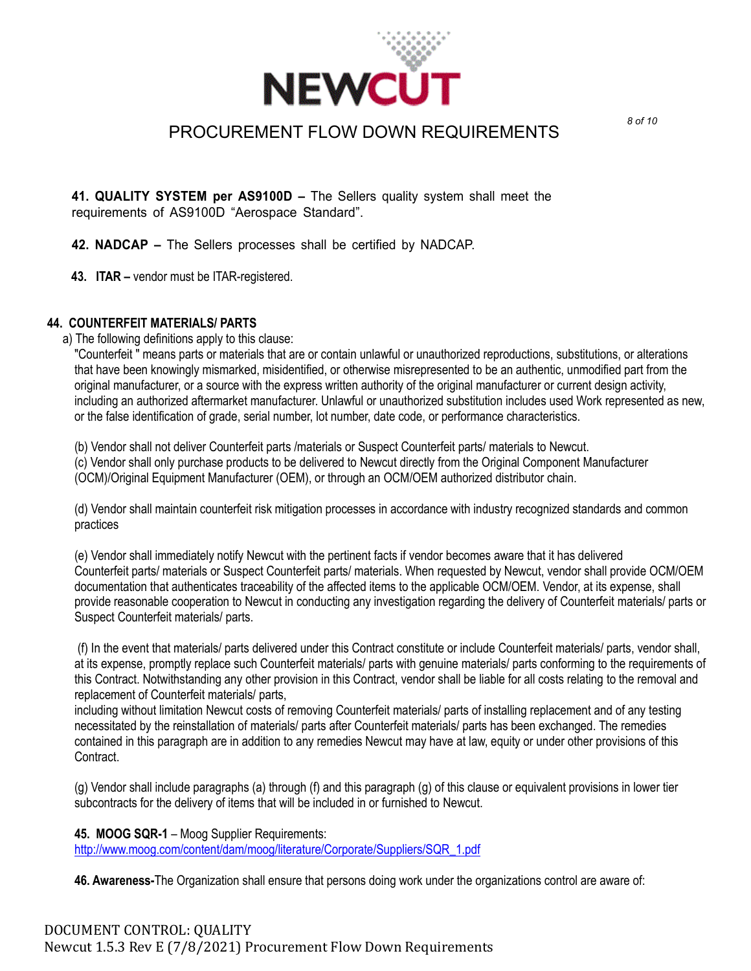

**41. QUALITY SYSTEM per AS9100D –** The Sellers quality system shall meet the requirements of AS9100D "Aerospace Standard".

**42. NADCAP –** The Sellers processes shall be certified by NADCAP.

**43. ITAR –** vendor must be ITAR-registered.

### **44. COUNTERFEIT MATERIALS/ PARTS**

a) The following definitions apply to this clause:

"Counterfeit " means parts or materials that are or contain unlawful or unauthorized reproductions, substitutions, or alterations that have been knowingly mismarked, misidentified, or otherwise misrepresented to be an authentic, unmodified part from the original manufacturer, or a source with the express written authority of the original manufacturer or current design activity, including an authorized aftermarket manufacturer. Unlawful or unauthorized substitution includes used Work represented as new, or the false identification of grade, serial number, lot number, date code, or performance characteristics.

(b) Vendor shall not deliver Counterfeit parts /materials or Suspect Counterfeit parts/ materials to Newcut.

(c) Vendor shall only purchase products to be delivered to Newcut directly from the Original Component Manufacturer (OCM)/Original Equipment Manufacturer (OEM), or through an OCM/OEM authorized distributor chain.

(d) Vendor shall maintain counterfeit risk mitigation processes in accordance with industry recognized standards and common practices

(e) Vendor shall immediately notify Newcut with the pertinent facts if vendor becomes aware that it has delivered Counterfeit parts/ materials or Suspect Counterfeit parts/ materials. When requested by Newcut, vendor shall provide OCM/OEM documentation that authenticates traceability of the affected items to the applicable OCM/OEM. Vendor, at its expense, shall provide reasonable cooperation to Newcut in conducting any investigation regarding the delivery of Counterfeit materials/ parts or Suspect Counterfeit materials/ parts.

(f) In the event that materials/ parts delivered under this Contract constitute or include Counterfeit materials/ parts, vendor shall, at its expense, promptly replace such Counterfeit materials/ parts with genuine materials/ parts conforming to the requirements of this Contract. Notwithstanding any other provision in this Contract, vendor shall be liable for all costs relating to the removal and replacement of Counterfeit materials/ parts,

including without limitation Newcut costs of removing Counterfeit materials/ parts of installing replacement and of any testing necessitated by the reinstallation of materials/ parts after Counterfeit materials/ parts has been exchanged. The remedies contained in this paragraph are in addition to any remedies Newcut may have at law, equity or under other provisions of this Contract.

(g) Vendor shall include paragraphs (a) through (f) and this paragraph (g) of this clause or equivalent provisions in lower tier subcontracts for the delivery of items that will be included in or furnished to Newcut.

**45. MOOG SQR-1** – Moog Supplier Requirements: [http://www.moog.com/content/dam/moog/literature/Corporate/Suppliers/SQR\\_1.pdf](http://www.moog.com/content/dam/moog/literature/Corporate/Suppliers/SQR_1.pdf)

**46. Awareness-**The Organization shall ensure that persons doing work under the organizations control are aware of: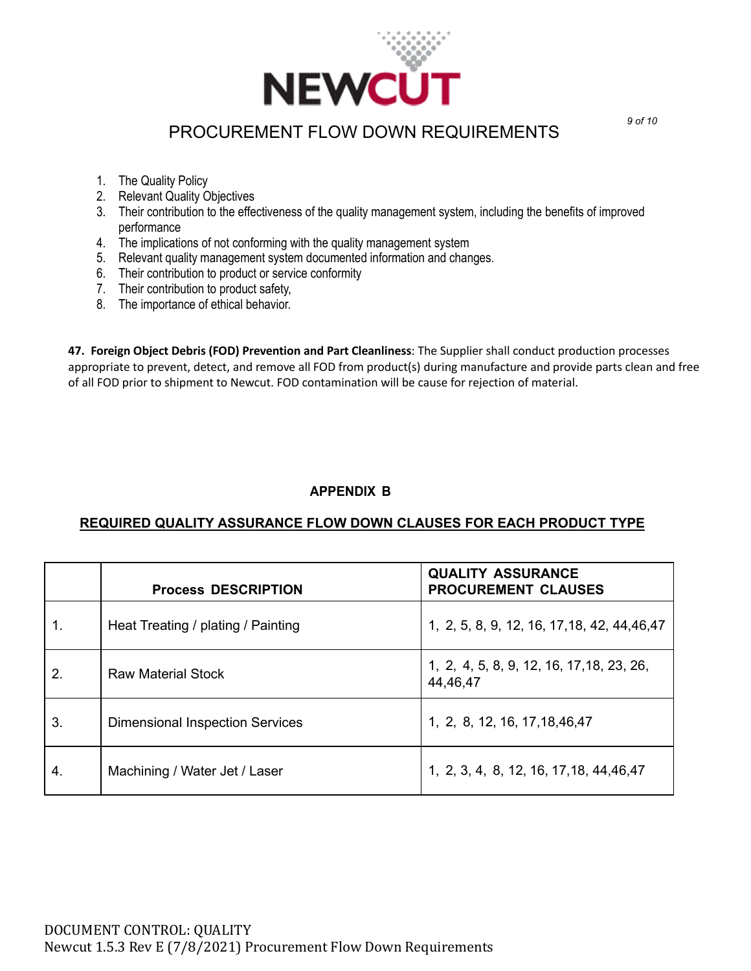

- 1. The Quality Policy
- 2. Relevant Quality Objectives
- 3. Their contribution to the effectiveness of the quality management system, including the benefits of improved performance
- 4. The implications of not conforming with the quality management system
- 5. Relevant quality management system documented information and changes.
- 6. Their contribution to product or service conformity
- 7. Their contribution to product safety,
- 8. The importance of ethical behavior.

**47. Foreign Object Debris (FOD) Prevention and Part Cleanliness**: The Supplier shall conduct production processes appropriate to prevent, detect, and remove all FOD from product(s) during manufacture and provide parts clean and free of all FOD prior to shipment to Newcut. FOD contamination will be cause for rejection of material.

### **APPENDIX B**

### **REQUIRED QUALITY ASSURANCE FLOW DOWN CLAUSES FOR EACH PRODUCT TYPE**

|                  | <b>Process DESCRIPTION</b>             | <b>QUALITY ASSURANCE</b><br><b>PROCUREMENT CLAUSES</b> |
|------------------|----------------------------------------|--------------------------------------------------------|
| 1.               | Heat Treating / plating / Painting     | 1, 2, 5, 8, 9, 12, 16, 17, 18, 42, 44, 46, 47          |
| $\overline{2}$ . | <b>Raw Material Stock</b>              | 1, 2, 4, 5, 8, 9, 12, 16, 17, 18, 23, 26,<br>44,46,47  |
| 3.               | <b>Dimensional Inspection Services</b> | 1, 2, 8, 12, 16, 17, 18, 46, 47                        |
| 4.               | Machining / Water Jet / Laser          | 1, 2, 3, 4, 8, 12, 16, 17, 18, 44, 46, 47              |